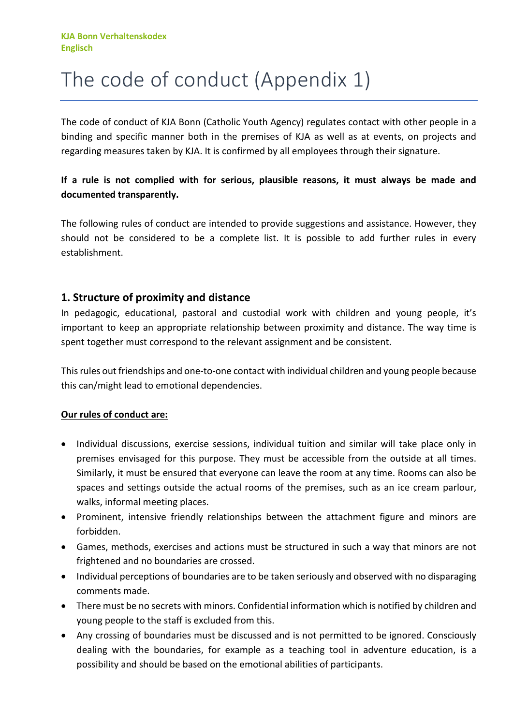# The code of conduct (Appendix 1)

The code of conduct of KJA Bonn (Catholic Youth Agency) regulates contact with other people in a binding and specific manner both in the premises of KJA as well as at events, on projects and regarding measures taken by KJA. It is confirmed by all employees through their signature.

## **If a rule is not complied with for serious, plausible reasons, it must always be made and documented transparently.**

The following rules of conduct are intended to provide suggestions and assistance. However, they should not be considered to be a complete list. It is possible to add further rules in every establishment.

# **1. Structure of proximity and distance**

In pedagogic, educational, pastoral and custodial work with children and young people, it's important to keep an appropriate relationship between proximity and distance. The way time is spent together must correspond to the relevant assignment and be consistent.

Thisrules out friendships and one-to-one contact with individual children and young people because this can/might lead to emotional dependencies.

- Individual discussions, exercise sessions, individual tuition and similar will take place only in premises envisaged for this purpose. They must be accessible from the outside at all times. Similarly, it must be ensured that everyone can leave the room at any time. Rooms can also be spaces and settings outside the actual rooms of the premises, such as an ice cream parlour, walks, informal meeting places.
- Prominent, intensive friendly relationships between the attachment figure and minors are forbidden.
- Games, methods, exercises and actions must be structured in such a way that minors are not frightened and no boundaries are crossed.
- Individual perceptions of boundaries are to be taken seriously and observed with no disparaging comments made.
- There must be no secrets with minors. Confidential information which is notified by children and young people to the staff is excluded from this.
- Any crossing of boundaries must be discussed and is not permitted to be ignored. Consciously dealing with the boundaries, for example as a teaching tool in adventure education, is a possibility and should be based on the emotional abilities of participants.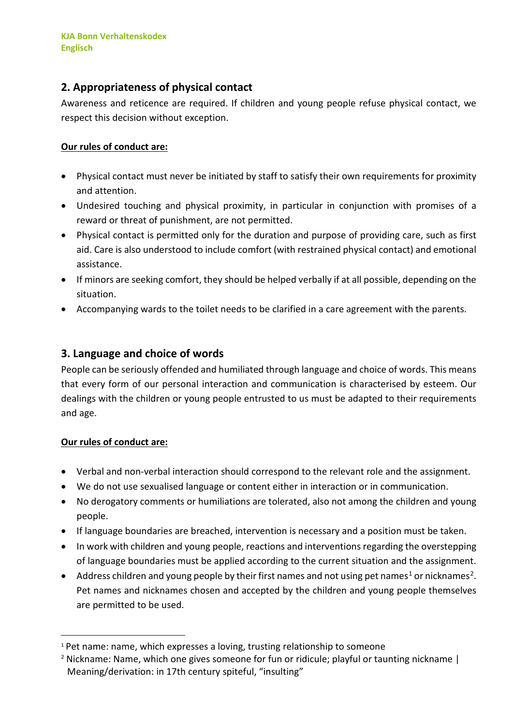# **2. Appropriateness of physical contact**

Awareness and reticence are required. If children and young people refuse physical contact, we respect this decision without exception.

### **Our rules of conduct are:**

- Physical contact must never be initiated by staff to satisfy their own requirements for proximity and attention.
- Undesired touching and physical proximity, in particular in conjunction with promises of a reward or threat of punishment, are not permitted.
- Physical contact is permitted only for the duration and purpose of providing care, such as first aid. Care is also understood to include comfort (with restrained physical contact) and emotional assistance.
- If minors are seeking comfort, they should be helped verbally if at all possible, depending on the situation.
- Accompanying wards to the toilet needs to be clarified in a care agreement with the parents.

# **3. Language and choice of words**

People can be seriously offended and humiliated through language and choice of words. This means that every form of our personal interaction and communication is characterised by esteem. Our dealings with the children or young people entrusted to us must be adapted to their requirements and age.

- Verbal and non-verbal interaction should correspond to the relevant role and the assignment.
- We do not use sexualised language or content either in interaction or in communication.
- No derogatory comments or humiliations are tolerated, also not among the children and young people.
- If language boundaries are breached, intervention is necessary and a position must be taken.
- In work with children and young people, reactions and interventions regarding the overstepping of language boundaries must be applied according to the current situation and the assignment.
- Address children and young people by their first names and not using pet names<sup>1</sup> or nicknames<sup>2</sup>. Pet names and nicknames chosen and accepted by the children and young people themselves are permitted to be used.

<span id="page-1-0"></span><sup>&</sup>lt;sup>1</sup> Pet name: name, which expresses a loving, trusting relationship to someone

<span id="page-1-1"></span><sup>&</sup>lt;sup>2</sup> Nickname: Name, which one gives someone for fun or ridicule; playful or taunting nickname  $\vert$ Meaning/derivation: in 17th century spiteful, "insulting"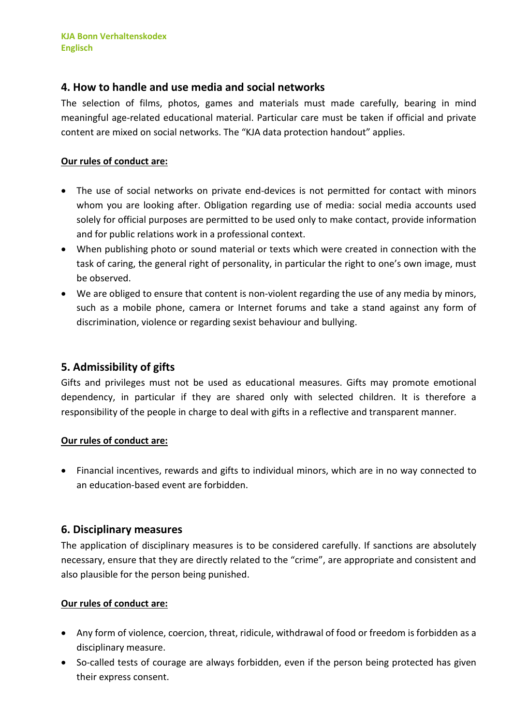## **4. How to handle and use media and social networks**

The selection of films, photos, games and materials must made carefully, bearing in mind meaningful age-related educational material. Particular care must be taken if official and private content are mixed on social networks. The "KJA data protection handout" applies.

#### **Our rules of conduct are:**

- The use of social networks on private end-devices is not permitted for contact with minors whom you are looking after. Obligation regarding use of media: social media accounts used solely for official purposes are permitted to be used only to make contact, provide information and for public relations work in a professional context.
- When publishing photo or sound material or texts which were created in connection with the task of caring, the general right of personality, in particular the right to one's own image, must be observed.
- We are obliged to ensure that content is non-violent regarding the use of any media by minors, such as a mobile phone, camera or Internet forums and take a stand against any form of discrimination, violence or regarding sexist behaviour and bullying.

# **5. Admissibility of gifts**

Gifts and privileges must not be used as educational measures. Gifts may promote emotional dependency, in particular if they are shared only with selected children. It is therefore a responsibility of the people in charge to deal with gifts in a reflective and transparent manner.

#### **Our rules of conduct are:**

• Financial incentives, rewards and gifts to individual minors, which are in no way connected to an education-based event are forbidden.

## **6. Disciplinary measures**

The application of disciplinary measures is to be considered carefully. If sanctions are absolutely necessary, ensure that they are directly related to the "crime", are appropriate and consistent and also plausible for the person being punished.

- Any form of violence, coercion, threat, ridicule, withdrawal of food or freedom is forbidden as a disciplinary measure.
- So-called tests of courage are always forbidden, even if the person being protected has given their express consent.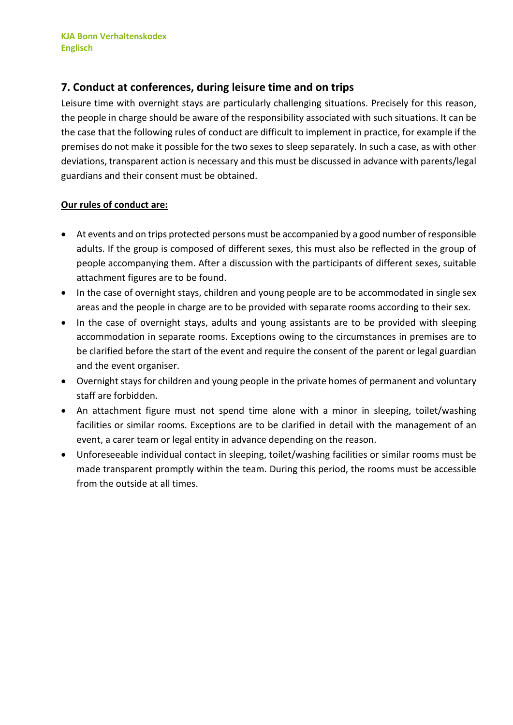# **7. Conduct at conferences, during leisure time and on trips**

Leisure time with overnight stays are particularly challenging situations. Precisely for this reason, the people in charge should be aware of the responsibility associated with such situations. It can be the case that the following rules of conduct are difficult to implement in practice, for example if the premises do not make it possible for the two sexes to sleep separately. In such a case, as with other deviations, transparent action is necessary and this must be discussed in advance with parents/legal guardians and their consent must be obtained.

- At events and on trips protected persons must be accompanied by a good number of responsible adults. If the group is composed of different sexes, this must also be reflected in the group of people accompanying them. After a discussion with the participants of different sexes, suitable attachment figures are to be found.
- In the case of overnight stays, children and young people are to be accommodated in single sex areas and the people in charge are to be provided with separate rooms according to their sex.
- In the case of overnight stays, adults and young assistants are to be provided with sleeping accommodation in separate rooms. Exceptions owing to the circumstances in premises are to be clarified before the start of the event and require the consent of the parent or legal guardian and the event organiser.
- Overnight stays for children and young people in the private homes of permanent and voluntary staff are forbidden.
- An attachment figure must not spend time alone with a minor in sleeping, toilet/washing facilities or similar rooms. Exceptions are to be clarified in detail with the management of an event, a carer team or legal entity in advance depending on the reason.
- Unforeseeable individual contact in sleeping, toilet/washing facilities or similar rooms must be made transparent promptly within the team. During this period, the rooms must be accessible from the outside at all times.